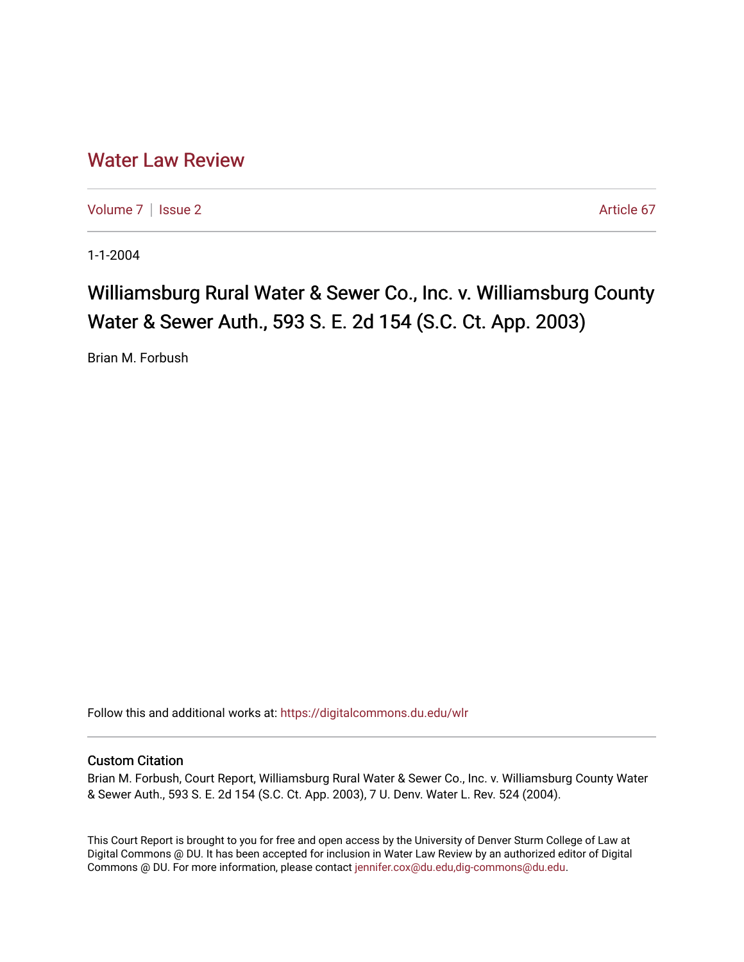## [Water Law Review](https://digitalcommons.du.edu/wlr)

[Volume 7](https://digitalcommons.du.edu/wlr/vol7) | [Issue 2](https://digitalcommons.du.edu/wlr/vol7/iss2) Article 67

1-1-2004

# Williamsburg Rural Water & Sewer Co., Inc. v. Williamsburg County Water & Sewer Auth., 593 S. E. 2d 154 (S.C. Ct. App. 2003)

Brian M. Forbush

Follow this and additional works at: [https://digitalcommons.du.edu/wlr](https://digitalcommons.du.edu/wlr?utm_source=digitalcommons.du.edu%2Fwlr%2Fvol7%2Fiss2%2F67&utm_medium=PDF&utm_campaign=PDFCoverPages) 

### Custom Citation

Brian M. Forbush, Court Report, Williamsburg Rural Water & Sewer Co., Inc. v. Williamsburg County Water & Sewer Auth., 593 S. E. 2d 154 (S.C. Ct. App. 2003), 7 U. Denv. Water L. Rev. 524 (2004).

This Court Report is brought to you for free and open access by the University of Denver Sturm College of Law at Digital Commons @ DU. It has been accepted for inclusion in Water Law Review by an authorized editor of Digital Commons @ DU. For more information, please contact [jennifer.cox@du.edu,dig-commons@du.edu.](mailto:jennifer.cox@du.edu,dig-commons@du.edu)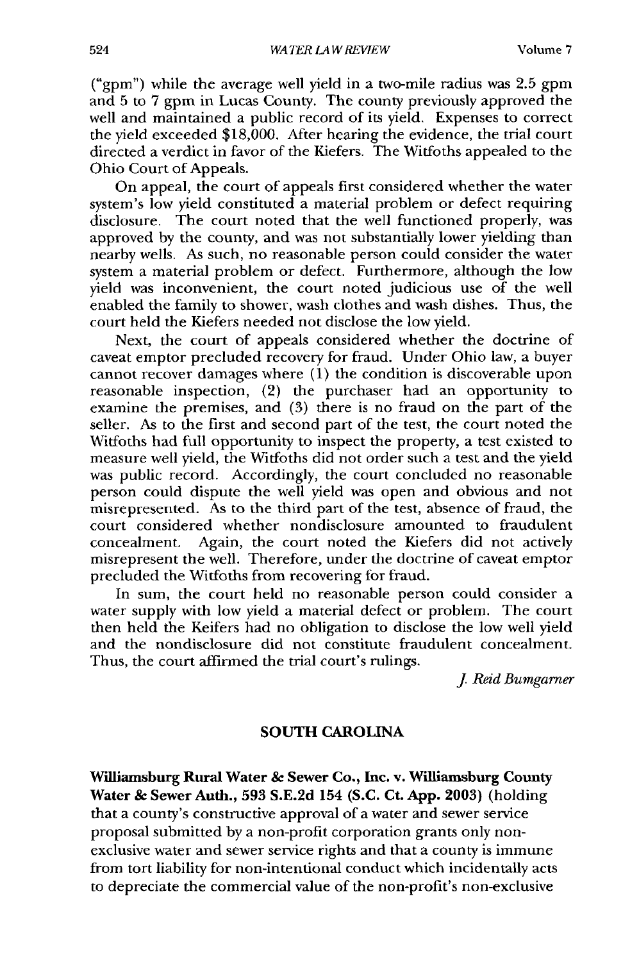("gpm") while the average well yield in a two-mile radius was 2.5 gpm and 5 to 7 gpm in Lucas County. The county previously approved the well and maintained a public record of its yield. Expenses to correct the yield exceeded \$18,000. After hearing the evidence, the trial court directed a verdict in favor of the Kiefers. The Witfoths appealed to the Ohio Court of Appeals.

On appeal, the court of appeals first considered whether the water system's low yield constituted a material problem or defect requiring disclosure. The court noted that the well functioned properly, was approved by the county, and was not substantially lower yielding than nearby wells. As such, no reasonable person could consider the water system a material problem or defect. Furthermore, although the low yield was inconvenient, the court noted judicious use of the well enabled the family to shower, wash clothes and wash dishes. Thus, the court held the Kiefers needed not disclose the low yield.

Next, the court of appeals considered whether the doctrine of caveat emptor precluded recovery for fraud. Under Ohio law, a buyer cannot recover damages where (1) the condition is discoverable upon reasonable inspection, (2) the purchaser had an opportunity to examine the premises, and (3) there is no fraud on the part of the seller. As to the first and second part of the test, the court noted the Wiffoths had full opportunity to inspect the property, a test existed to measure well yield, the Witfoths did not order such a test and the yield was public record. Accordingly, the court concluded no reasonable person could dispute the well yield was open and obvious and not misrepresented. As to the third part of the test, absence of fraud, the court considered whether nondisclosure amounted to fraudulent concealment. Again, the court noted the Kiefers did not actively misrepresent the well. Therefore, under the doctrine of caveat emptor precluded the Witfoths from recovering for fraud.

In sum, the court held no reasonable person could consider a water supply with low yield a material defect or problem. The court then held the Keifers had no obligation to disclose the low well yield and the nondisclosure did not constitute fraudulent concealment. Thus, the court affirmed the trial court's rulings.

*J Reid Bumgarner*

#### SOUTH CAROLINA

Williamsburg **Rural Water & Sewer Co., Inc. v. Williamsburg County Water & Sewer Auth., 593 S.E.2d** 154 **(S.C. Ct. App. 2003)** (holding that a county's constructive approval of a water and sewer service proposal submitted by a non-profit corporation grants only nonexclusive water and sewer service rights and that a county is immune from tort liability for non-intentional conduct which incidentally acts to depreciate the commercial value of the non-profit's non-exclusive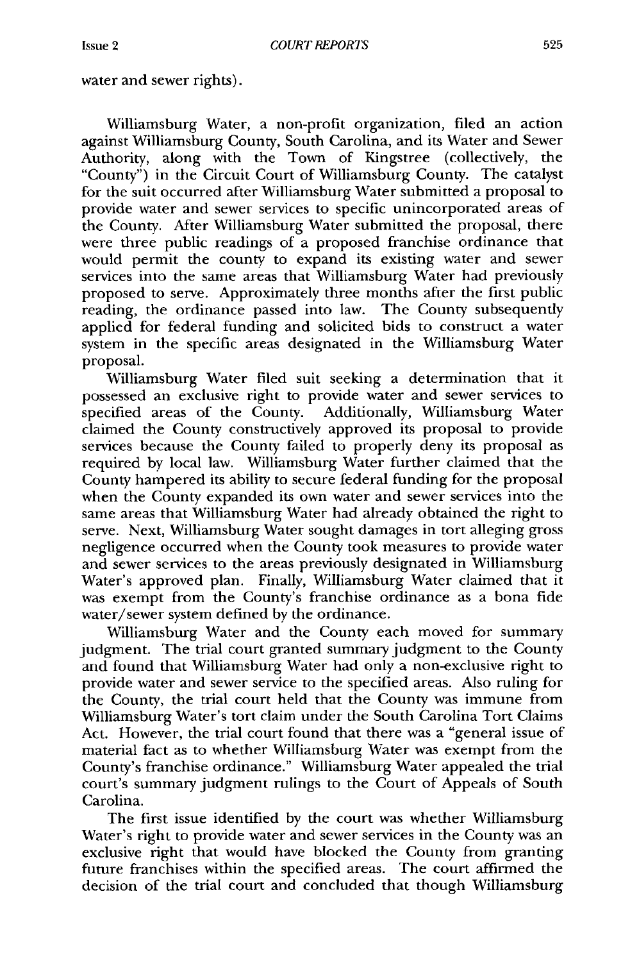water and sewer rights).

Williamsburg Water, a non-profit organization, filed an action against Williamsburg County, South Carolina, and its Water and Sewer Authority, along with the Town of Kingstree (collectively, the "County") in the Circuit Court of Williamsburg County. The catalyst for the suit occurred after Williamsburg Water submitted a proposal to provide water and sewer services to specific unincorporated areas of the County. After Williamsburg Water submitted the proposal, there were three public readings of a proposed franchise ordinance that would permit the county to expand its existing water and sewer services into the same areas that Williamsburg Water had previously proposed to serve. Approximately three months after the first public reading, the ordinance passed into law. The County subsequently applied for federal funding and solicited bids to construct a water system in the specific areas designated in the Williamsburg Water proposal.

Williamsburg Water filed suit seeking a determination that it possessed an exclusive right to provide water and sewer services to specified areas of the County. Additionally, Williamsburg Water claimed the County constructively approved its proposal to provide services because the County failed to properly deny its proposal as required by local law. Williamsburg Water further claimed that the County hampered its ability to secure federal funding for the proposal when the County expanded its own water and sewer services into the same areas that Williamsburg Water had already obtained the right to serve. Next, Williamsburg Water sought damages in tort alleging gross negligence occurred when the County took measures to provide water and sewer services to the areas previously designated in Williamsburg Water's approved plan. Finally, Williamsburg Water claimed that it was exempt from the County's franchise ordinance as a bona fide water/sewer system defined by the ordinance.

Williamsburg Water and the County each moved for summary judgment. The trial court granted summary judgment to the County and found that Williamsburg Water had only a non-exclusive right to provide water and sewer service to the specified areas. Also ruling for the County, the trial court held that the County was immune from Williamsburg Water's tort claim under the South Carolina Tort Claims Act. However, the trial court found that there was a "general issue of material fact as to whether Williamsburg Water was exempt from the County's franchise ordinance." Williamsburg Water appealed the trial court's summary judgment rulings to the Court of Appeals of South Carolina.

The first issue identified by the court was whether Williamsburg Water's right to provide water and sewer services in the County was an exclusive right that would have blocked the County from granting future franchises within the specified areas. The court affirmed the decision of the trial court and concluded that though Williamsburg